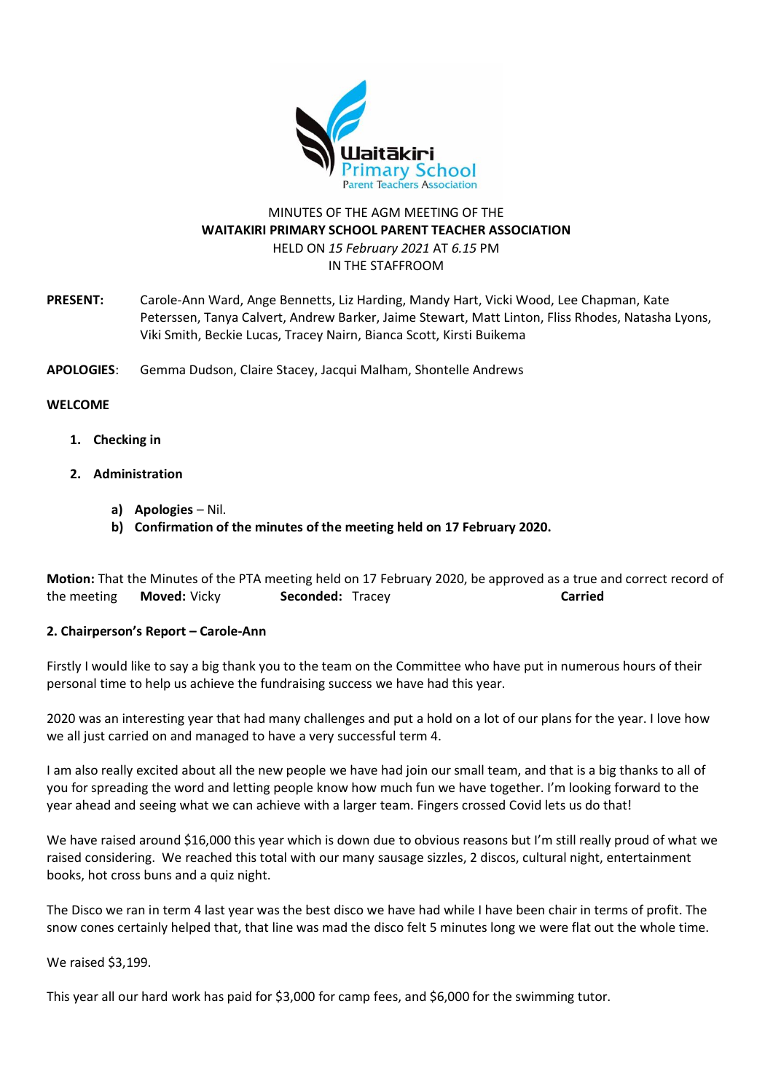

## MINUTES OF THE AGM MEETING OF THE **WAITAKIRI PRIMARY SCHOOL PARENT TEACHER ASSOCIATION** HELD ON *15 February 2021* AT *6.15* PM IN THE STAFFROOM

**PRESENT:** Carole-Ann Ward, Ange Bennetts, Liz Harding, Mandy Hart, Vicki Wood, Lee Chapman, Kate Peterssen, Tanya Calvert, Andrew Barker, Jaime Stewart, Matt Linton, Fliss Rhodes, Natasha Lyons, Viki Smith, Beckie Lucas, Tracey Nairn, Bianca Scott, Kirsti Buikema

**APOLOGIES**: Gemma Dudson, Claire Stacey, Jacqui Malham, Shontelle Andrews

#### **WELCOME**

- **1. Checking in**
- **2. Administration**
	- **a) Apologies** Nil.
	- **b) Confirmation of the minutes of the meeting held on 17 February 2020.**

**Motion:** That the Minutes of the PTA meeting held on 17 February 2020, be approved as a true and correct record of the meeting **Moved:** Vicky **Seconded:** Tracey **Carried**

## **2. Chairperson's Report – Carole-Ann**

Firstly I would like to say a big thank you to the team on the Committee who have put in numerous hours of their personal time to help us achieve the fundraising success we have had this year.

2020 was an interesting year that had many challenges and put a hold on a lot of our plans for the year. I love how we all just carried on and managed to have a very successful term 4.

I am also really excited about all the new people we have had join our small team, and that is a big thanks to all of you for spreading the word and letting people know how much fun we have together. I'm looking forward to the year ahead and seeing what we can achieve with a larger team. Fingers crossed Covid lets us do that!

We have raised around \$16,000 this year which is down due to obvious reasons but I'm still really proud of what we raised considering. We reached this total with our many sausage sizzles, 2 discos, cultural night, entertainment books, hot cross buns and a quiz night.

The Disco we ran in term 4 last year was the best disco we have had while I have been chair in terms of profit. The snow cones certainly helped that, that line was mad the disco felt 5 minutes long we were flat out the whole time.

We raised \$3,199.

This year all our hard work has paid for \$3,000 for camp fees, and \$6,000 for the swimming tutor.